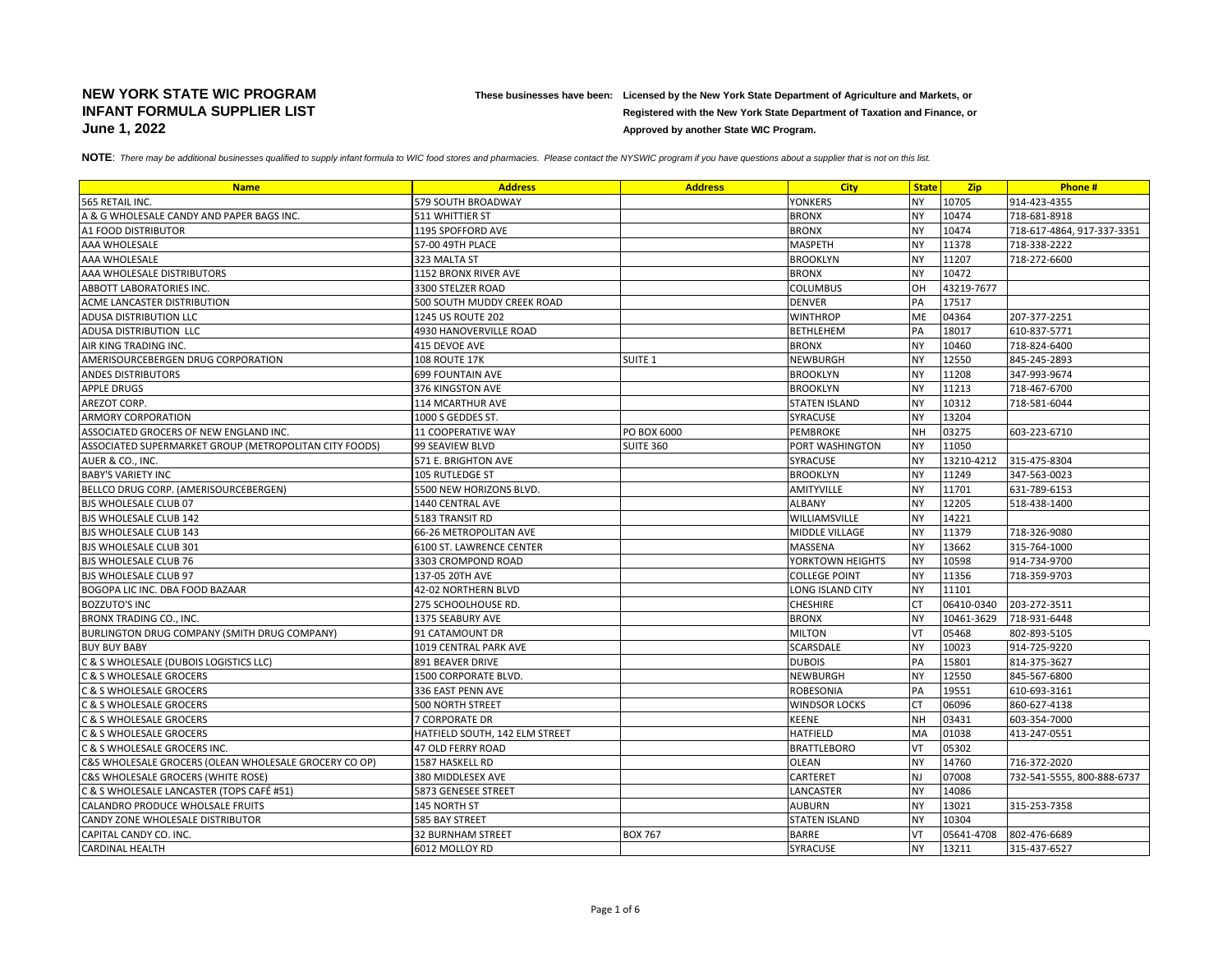## **NEW YORK STATE WIC PROGRAM These businesses have been: Licensed by the New York State Department of Agriculture and Markets, or INFANT FORMULA SUPPLIER LIST Registered with the New York State Department of Taxation and Finance, or June 1, 2022 Approved by another State WIC Program.** Approved by another State WIC Program.

NOTE: There may be additional businesses qualified to supply infant formula to WIC food stores and pharmacies. Please contact the NYSWIC program if you have questions about a supplier that is not on this list.

| <b>Name</b>                                            | <b>Address</b>                        | <b>Address</b>   | <b>City</b>           | <b>State</b> | <b>Zip</b> | Phone#                     |
|--------------------------------------------------------|---------------------------------------|------------------|-----------------------|--------------|------------|----------------------------|
| 565 RETAIL INC.                                        | 579 SOUTH BROADWAY                    |                  | <b>YONKERS</b>        | <b>NY</b>    | 10705      | 914-423-4355               |
| A & G WHOLESALE CANDY AND PAPER BAGS INC.              | 511 WHITTIER ST                       |                  | <b>BRONX</b>          | <b>NY</b>    | 10474      | 718-681-8918               |
| A1 FOOD DISTRIBUTOR                                    | 1195 SPOFFORD AVE                     |                  | <b>BRONX</b>          | <b>NY</b>    | 10474      | 718-617-4864, 917-337-3351 |
| AAA WHOLESALE                                          | 57-00 49TH PLACE                      |                  | <b>MASPETH</b>        | <b>NY</b>    | 11378      | 718-338-2222               |
| AAA WHOLESALE                                          | 323 MALTA ST                          |                  | <b>BROOKLYN</b>       | <b>NY</b>    | 11207      | 718-272-6600               |
| AAA WHOLESALE DISTRIBUTORS                             | 1152 BRONX RIVER AVE                  |                  | <b>BRONX</b>          | <b>NY</b>    | 10472      |                            |
| ABBOTT LABORATORIES INC.                               | 3300 STELZER ROAD                     |                  | <b>COLUMBUS</b>       | OH           | 43219-7677 |                            |
| ACME LANCASTER DISTRIBUTION                            | <b>500 SOUTH MUDDY CREEK ROAD</b>     |                  | <b>DENVER</b>         | PA           | 17517      |                            |
| <b>ADUSA DISTRIBUTION LLC</b>                          | 1245 US ROUTE 202                     |                  | <b>WINTHROP</b>       | ME           | 04364      | 207-377-2251               |
| ADUSA DISTRIBUTION LLC                                 | 4930 HANOVERVILLE ROAD                |                  | <b>BETHLEHEM</b>      | PA           | 18017      | 610-837-5771               |
| AIR KING TRADING INC.                                  | 415 DEVOE AVE                         |                  | <b>BRONX</b>          | <b>NY</b>    | 10460      | 718-824-6400               |
| AMERISOURCEBERGEN DRUG CORPORATION                     | <b>108 ROUTE 17K</b>                  | <b>SUITE 1</b>   | NEWBURGH              | <b>NY</b>    | 12550      | 845-245-2893               |
| <b>ANDES DISTRIBUTORS</b>                              | <b>699 FOUNTAIN AVE</b>               |                  | <b>BROOKLYN</b>       | <b>NY</b>    | 11208      | 347-993-9674               |
| <b>APPLE DRUGS</b>                                     | 376 KINGSTON AVE                      |                  | <b>BROOKLYN</b>       | <b>NY</b>    | 11213      | 718-467-6700               |
| AREZOT CORP.                                           | 114 MCARTHUR AVE                      |                  | <b>STATEN ISLAND</b>  | <b>NY</b>    | 10312      | 718-581-6044               |
| <b>ARMORY CORPORATION</b>                              | 1000 S GEDDES ST.                     |                  | SYRACUSE              | <b>NY</b>    | 13204      |                            |
| ASSOCIATED GROCERS OF NEW ENGLAND INC.                 | <b>11 COOPERATIVE WAY</b>             | PO BOX 6000      | PEMBROKE              | NH           | 03275      | 603-223-6710               |
| ASSOCIATED SUPERMARKET GROUP (METROPOLITAN CITY FOODS) | 99 SEAVIEW BLVD                       | <b>SUITE 360</b> | PORT WASHINGTON       | <b>NY</b>    | 11050      |                            |
| AUER & CO., INC.                                       | 571 E. BRIGHTON AVE                   |                  | <b>SYRACUSE</b>       | <b>NY</b>    | 13210-4212 | 315-475-8304               |
| <b>BABY'S VARIETY INC</b>                              | 105 RUTLEDGE ST                       |                  | <b>BROOKLYN</b>       | <b>NY</b>    | 11249      | 347-563-0023               |
| BELLCO DRUG CORP. (AMERISOURCEBERGEN)                  | 5500 NEW HORIZONS BLVD.               |                  | <b>AMITYVILLE</b>     | <b>NY</b>    | 11701      | 631-789-6153               |
| BJS WHOLESALE CLUB 07                                  | 1440 CENTRAL AVE                      |                  | <b>ALBANY</b>         | <b>NY</b>    | 12205      | 518-438-1400               |
| <b>BJS WHOLESALE CLUB 142</b>                          | 5183 TRANSIT RD                       |                  | WILLIAMSVILLE         | <b>NY</b>    | 14221      |                            |
| <b>BJS WHOLESALE CLUB 143</b>                          | 66-26 METROPOLITAN AVE                |                  | <b>MIDDLE VILLAGE</b> | <b>NY</b>    | 11379      | 718-326-9080               |
| BJS WHOLESALE CLUB 301                                 | 6100 ST. LAWRENCE CENTER              |                  | MASSENA               | <b>NY</b>    | 13662      | 315-764-1000               |
| BJS WHOLESALE CLUB 76                                  | 3303 CROMPOND ROAD                    |                  | YORKTOWN HEIGHTS      | <b>NY</b>    | 10598      | 914-734-9700               |
| <b>BJS WHOLESALE CLUB 97</b>                           | 137-05 20TH AVE                       |                  | <b>COLLEGE POINT</b>  | <b>NY</b>    | 11356      | 718-359-9703               |
| BOGOPA LIC INC. DBA FOOD BAZAAR                        | 42-02 NORTHERN BLVD                   |                  | LONG ISLAND CITY      | <b>NY</b>    | 11101      |                            |
| <b>BOZZUTO'S INC</b>                                   | 275 SCHOOLHOUSE RD.                   |                  | <b>CHESHIRE</b>       | <b>CT</b>    | 06410-0340 | 203-272-3511               |
| BRONX TRADING CO., INC.                                | 1375 SEABURY AVE                      |                  | <b>BRONX</b>          | <b>NY</b>    | 10461-3629 | 718-931-6448               |
| BURLINGTON DRUG COMPANY (SMITH DRUG COMPANY)           | 91 CATAMOUNT DR                       |                  | <b>MILTON</b>         | VT           | 05468      | 802-893-5105               |
| <b>BUY BUY BABY</b>                                    | 1019 CENTRAL PARK AVE                 |                  | SCARSDALE             | <b>NY</b>    | 10023      | 914-725-9220               |
| C & S WHOLESALE (DUBOIS LOGISTICS LLC)                 | 891 BEAVER DRIVE                      |                  | <b>DUBOIS</b>         | PA           | 15801      | 814-375-3627               |
| C & S WHOLESALE GROCERS                                | 1500 CORPORATE BLVD.                  |                  | NEWBURGH              | <b>NY</b>    | 12550      | 845-567-6800               |
| C & S WHOLESALE GROCERS                                | 336 EAST PENN AVE                     |                  | <b>ROBESONIA</b>      | PA           | 19551      | 610-693-3161               |
| C & S WHOLESALE GROCERS                                | 500 NORTH STREET                      |                  | <b>WINDSOR LOCKS</b>  | <b>CT</b>    | 06096      | 860-627-4138               |
| C & S WHOLESALE GROCERS                                | <b>7 CORPORATE DR</b>                 |                  | <b>KEENE</b>          | NH           | 03431      | 603-354-7000               |
| <b>C &amp; S WHOLESALE GROCERS</b>                     | <b>HATFIELD SOUTH, 142 ELM STREET</b> |                  | <b>HATFIELD</b>       | MA           | 01038      | 413-247-0551               |
| C & S WHOLESALE GROCERS INC.                           | <b>47 OLD FERRY ROAD</b>              |                  | <b>BRATTLEBORO</b>    | VT           | 05302      |                            |
| C&S WHOLESALE GROCERS (OLEAN WHOLESALE GROCERY CO OP)  | 1587 HASKELL RD                       |                  | OLEAN                 | <b>NY</b>    | 14760      | 716-372-2020               |
| C&S WHOLESALE GROCERS (WHITE ROSE)                     | 380 MIDDLESEX AVE                     |                  | CARTERET              | <b>NJ</b>    | 07008      | 732-541-5555, 800-888-6737 |
| C & S WHOLESALE LANCASTER (TOPS CAFÉ #51)              | 5873 GENESEE STREET                   |                  | LANCASTER             | <b>NY</b>    | 14086      |                            |
| CALANDRO PRODUCE WHOLSALE FRUITS                       | 145 NORTH ST                          |                  | <b>AUBURN</b>         | <b>NY</b>    | 13021      | 315-253-7358               |
| CANDY ZONE WHOLESALE DISTRIBUTOR                       | 585 BAY STREET                        |                  | <b>STATEN ISLAND</b>  | <b>NY</b>    | 10304      |                            |
| CAPITAL CANDY CO. INC.                                 | <b>32 BURNHAM STREET</b>              | <b>BOX 767</b>   | <b>BARRE</b>          | VT           | 05641-4708 | 802-476-6689               |
| <b>CARDINAL HEALTH</b>                                 | 6012 MOLLOY RD                        |                  | SYRACUSE              | NY           | 13211      | 315-437-6527               |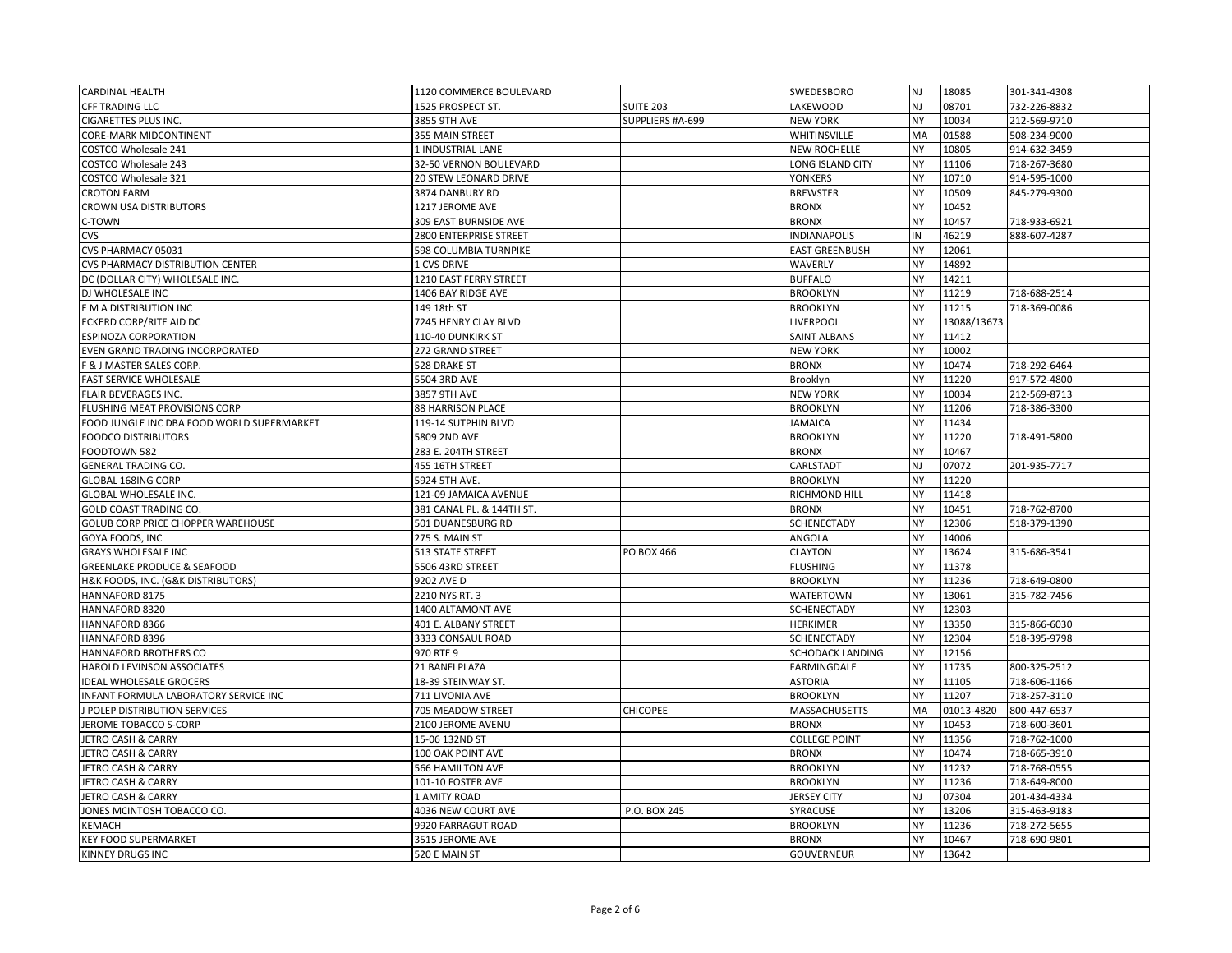| <b>CARDINAL HEALTH</b>                                 | 1120 COMMERCE BOULEVARD          |                  | SWEDESBORO                        | <b>NJ</b>              | 18085          | 301-341-4308 |
|--------------------------------------------------------|----------------------------------|------------------|-----------------------------------|------------------------|----------------|--------------|
| CFF TRADING LLC                                        | 1525 PROSPECT ST.                | SUITE 203        | LAKEWOOD                          | NJ                     | 08701          | 732-226-8832 |
| CIGARETTES PLUS INC.                                   | 3855 9TH AVE                     | SUPPLIERS #A-699 | <b>NEW YORK</b>                   | <b>NY</b>              | 10034          | 212-569-9710 |
| CORE-MARK MIDCONTINENT                                 | 355 MAIN STREET                  |                  | WHITINSVILLE                      | MA                     | 01588          | 508-234-9000 |
| COSTCO Wholesale 241                                   | 1 INDUSTRIAL LANE                |                  | <b>NEW ROCHELLE</b>               | <b>NY</b>              | 10805          | 914-632-3459 |
| <b>COSTCO Wholesale 243</b>                            | 32-50 VERNON BOULEVARD           |                  | LONG ISLAND CITY                  | NY                     | 11106          | 718-267-3680 |
| COSTCO Wholesale 321                                   | 20 STEW LEONARD DRIVE            |                  | <b>YONKERS</b>                    | <b>NY</b>              | 10710          | 914-595-1000 |
| <b>CROTON FARM</b>                                     | 3874 DANBURY RD                  |                  | <b>BREWSTER</b>                   | <b>NY</b>              | 10509          | 845-279-9300 |
| CROWN USA DISTRIBUTORS                                 | 1217 JEROME AVE                  |                  | <b>BRONX</b>                      | NY                     | 10452          |              |
| C-TOWN                                                 | 309 EAST BURNSIDE AVE            |                  | <b>BRONX</b>                      | <b>NY</b>              | 10457          | 718-933-6921 |
| CVS                                                    | 2800 ENTERPRISE STREET           |                  | <b>INDIANAPOLIS</b>               | IN                     | 46219          | 888-607-4287 |
| CVS PHARMACY 05031                                     | 598 COLUMBIA TURNPIKE            |                  | <b>EAST GREENBUSH</b>             | <b>NY</b>              | 12061          |              |
| CVS PHARMACY DISTRIBUTION CENTER                       | <b>1 CVS DRIVE</b>               |                  | WAVERLY                           | <b>NY</b>              | 14892          |              |
| DC (DOLLAR CITY) WHOLESALE INC.                        | 1210 EAST FERRY STREET           |                  | <b>BUFFALO</b>                    | <b>NY</b>              | 14211          |              |
| DJ WHOLESALE INC                                       | 1406 BAY RIDGE AVE               |                  | <b>BROOKLYN</b>                   | <b>NY</b>              | 11219          | 718-688-2514 |
| E M A DISTRIBUTION INC                                 | 149 18th ST                      |                  | <b>BROOKLYN</b>                   | <b>NY</b>              | 11215          | 718-369-0086 |
| ECKERD CORP/RITE AID DC                                | 7245 HENRY CLAY BLVD             |                  | <b>LIVERPOOL</b>                  | <b>NY</b>              | 13088/13673    |              |
| <b>ESPINOZA CORPORATION</b>                            | 110-40 DUNKIRK ST                |                  | <b>SAINT ALBANS</b>               | <b>NY</b>              | 11412          |              |
| EVEN GRAND TRADING INCORPORATED                        | 272 GRAND STREET                 |                  | <b>NEW YORK</b>                   | <b>NY</b>              | 10002          |              |
| F & J MASTER SALES CORP.                               | 528 DRAKE ST                     |                  | <b>BRONX</b>                      | <b>NY</b>              | 10474          | 718-292-6464 |
| FAST SERVICE WHOLESALE                                 | 5504 3RD AVE                     |                  | Brooklyn                          | <b>NY</b>              | 11220          | 917-572-4800 |
| <b>FLAIR BEVERAGES INC.</b>                            | 3857 9TH AVE                     |                  | <b>NEW YORK</b>                   | <b>NY</b>              | 10034          | 212-569-8713 |
| FLUSHING MEAT PROVISIONS CORP                          | 88 HARRISON PLACE                |                  | <b>BROOKLYN</b>                   | <b>NY</b>              | 11206          | 718-386-3300 |
| FOOD JUNGLE INC DBA FOOD WORLD SUPERMARKET             | 119-14 SUTPHIN BLVD              |                  | <b>JAMAICA</b>                    | <b>NY</b>              | 11434          |              |
| <b>FOODCO DISTRIBUTORS</b>                             | 5809 2ND AVE                     |                  | <b>BROOKLYN</b>                   | <b>NY</b>              | 11220          | 718-491-5800 |
| FOODTOWN 582                                           | 283 E. 204TH STREET              |                  | <b>BRONX</b>                      | <b>NY</b>              | 10467          |              |
| <b>GENERAL TRADING CO.</b>                             | 455 16TH STREET                  |                  | CARLSTADT                         | NJ                     | 07072          | 201-935-7717 |
| GLOBAL 168ING CORP                                     | 5924 5TH AVE.                    |                  | <b>BROOKLYN</b>                   | <b>NY</b>              | 11220          |              |
| GLOBAL WHOLESALE INC.                                  | 121-09 JAMAICA AVENUE            |                  | RICHMOND HILL                     | <b>NY</b>              | 11418          |              |
| GOLD COAST TRADING CO.                                 | 381 CANAL PL. & 144TH ST.        |                  | <b>BRONX</b>                      | <b>NY</b>              | 10451          | 718-762-8700 |
| GOLUB CORP PRICE CHOPPER WAREHOUSE                     | 501 DUANESBURG RD                |                  | <b>SCHENECTADY</b>                | <b>NY</b>              | 12306          | 518-379-1390 |
| GOYA FOODS, INC                                        | 275 S. MAIN ST                   |                  | ANGOLA                            | <b>NY</b>              | 14006          |              |
| <b>GRAYS WHOLESALE INC</b>                             | 513 STATE STREET                 |                  |                                   |                        |                |              |
|                                                        |                                  | PO BOX 466       | <b>CLAYTON</b>                    | <b>NY</b>              | 13624          | 315-686-3541 |
| <b>GREENLAKE PRODUCE &amp; SEAFOOD</b>                 | 5506 43RD STREET                 |                  | <b>FLUSHING</b>                   | <b>NY</b>              | 11378          |              |
| H&K FOODS, INC. (G&K DISTRIBUTORS)                     | 9202 AVE D                       |                  | <b>BROOKLYN</b>                   | <b>NY</b>              | 11236          | 718-649-0800 |
| HANNAFORD 8175                                         | 2210 NYS RT. 3                   |                  | <b>WATERTOWN</b>                  | <b>NY</b>              | 13061          | 315-782-7456 |
| HANNAFORD 8320                                         | 1400 ALTAMONT AVE                |                  | SCHENECTADY                       | NY                     | 12303          |              |
| HANNAFORD 8366                                         | 401 E. ALBANY STREET             |                  | <b>HERKIMER</b>                   | <b>NY</b>              | 13350          | 315-866-6030 |
| HANNAFORD 8396                                         | 3333 CONSAUL ROAD                |                  | SCHENECTADY                       | <b>NY</b>              | 12304          | 518-395-9798 |
| HANNAFORD BROTHERS CO                                  | 970 RTE 9                        |                  | SCHODACK LANDING                  | <b>NY</b>              | 12156          |              |
| HAROLD LEVINSON ASSOCIATES                             | 21 BANFI PLAZA                   |                  | FARMINGDALE                       | <b>NY</b>              | 11735          | 800-325-2512 |
| <b>IDEAL WHOLESALE GROCERS</b>                         | 18-39 STEINWAY ST.               |                  | <b>ASTORIA</b>                    | <b>NY</b>              | 11105          | 718-606-1166 |
| INFANT FORMULA LABORATORY SERVICE INC                  | 711 LIVONIA AVE                  |                  | <b>BROOKLYN</b>                   | <b>NY</b>              | 11207          | 718-257-3110 |
| J POLEP DISTRIBUTION SERVICES                          | 705 MEADOW STREET                | <b>CHICOPEE</b>  | <b>MASSACHUSETTS</b>              | MA                     | 01013-4820     | 800-447-6537 |
| JEROME TOBACCO S-CORP                                  | 2100 JEROME AVENU                |                  | <b>BRONX</b>                      | <b>NY</b>              | 10453          | 718-600-3601 |
| JETRO CASH & CARRY                                     | 15-06 132ND ST                   |                  | <b>COLLEGE POINT</b>              | <b>NY</b>              | 11356          | 718-762-1000 |
| JETRO CASH & CARRY                                     | 100 OAK POINT AVE                |                  | <b>BRONX</b>                      | <b>NY</b>              | 10474          | 718-665-3910 |
| JETRO CASH & CARRY                                     | 566 HAMILTON AVE                 |                  | <b>BROOKLYN</b>                   | <b>NY</b>              | 11232          | 718-768-0555 |
| JETRO CASH & CARRY                                     | 101-10 FOSTER AVE                |                  | <b>BROOKLYN</b>                   | <b>NY</b>              | 11236          | 718-649-8000 |
| JETRO CASH & CARRY                                     | 1 AMITY ROAD                     |                  | <b>JERSEY CITY</b>                | NJ                     | 07304          | 201-434-4334 |
| JONES MCINTOSH TOBACCO CO.                             | 4036 NEW COURT AVE               | P.O. BOX 245     | SYRACUSE                          | <b>NY</b>              | 13206          | 315-463-9183 |
| KEMACH                                                 | 9920 FARRAGUT ROAD               |                  | <b>BROOKLYN</b>                   | <b>NY</b>              | 11236          | 718-272-5655 |
| <b>KEY FOOD SUPERMARKET</b><br><b>KINNEY DRUGS INC</b> | 3515 JEROME AVE<br>520 E MAIN ST |                  | <b>BRONX</b><br><b>GOUVERNEUR</b> | <b>NY</b><br><b>NY</b> | 10467<br>13642 | 718-690-9801 |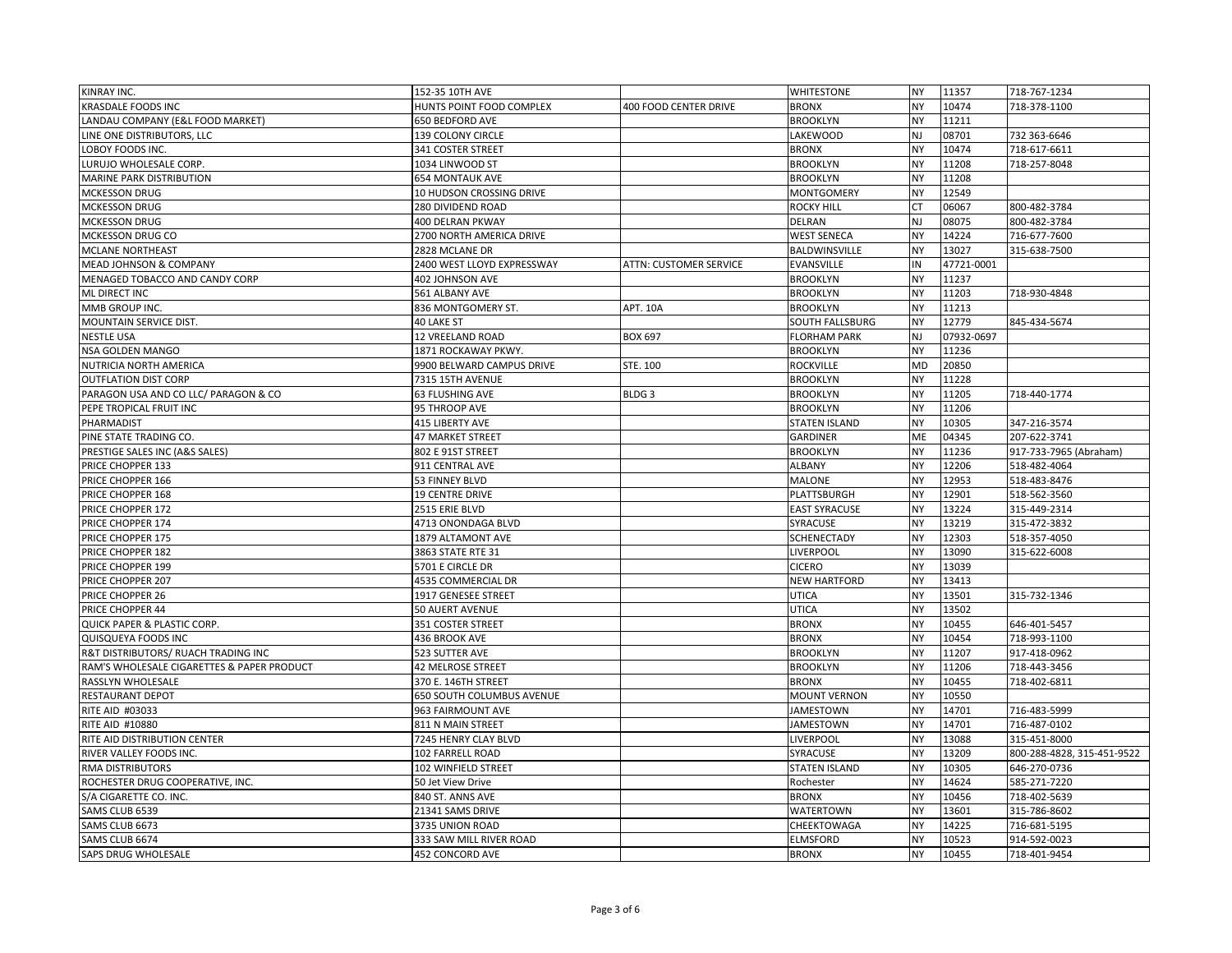| KINRAY INC.                                | 152-35 10TH AVE            |                               | <b>WHITESTONE</b>    | <b>NY</b> | 11357      | 718-767-1234               |
|--------------------------------------------|----------------------------|-------------------------------|----------------------|-----------|------------|----------------------------|
| <b>KRASDALE FOODS INC</b>                  | HUNTS POINT FOOD COMPLEX   | <b>400 FOOD CENTER DRIVE</b>  | <b>BRONX</b>         | <b>NY</b> | 10474      | 718-378-1100               |
| LANDAU COMPANY (E&L FOOD MARKET)           | 650 BEDFORD AVE            |                               | <b>BROOKLYN</b>      | <b>NY</b> | 11211      |                            |
| LINE ONE DISTRIBUTORS, LLC                 | 139 COLONY CIRCLE          |                               | LAKEWOOD             | <b>NJ</b> | 08701      | 732 363-6646               |
| LOBOY FOODS INC.                           | <b>341 COSTER STREET</b>   |                               | <b>BRONX</b>         | <b>NY</b> | 10474      | 718-617-6611               |
| LURUJO WHOLESALE CORP.                     | 1034 LINWOOD ST            |                               | <b>BROOKLYN</b>      | <b>NY</b> | 11208      | 718-257-8048               |
| MARINE PARK DISTRIBUTION                   | <b>654 MONTAUK AVE</b>     |                               | <b>BROOKLYN</b>      | <b>NY</b> | 11208      |                            |
| MCKESSON DRUG                              | 10 HUDSON CROSSING DRIVE   |                               | <b>MONTGOMERY</b>    | NY        | 12549      |                            |
| <b>MCKESSON DRUG</b>                       | 280 DIVIDEND ROAD          |                               | <b>ROCKY HILL</b>    | <b>CT</b> | 06067      | 800-482-3784               |
| <b>MCKESSON DRUG</b>                       | 400 DELRAN PKWAY           |                               | <b>DELRAN</b>        | NJ        | 08075      | 800-482-3784               |
| MCKESSON DRUG CO                           | 2700 NORTH AMERICA DRIVE   |                               | <b>WEST SENECA</b>   | NY        | 14224      | 716-677-7600               |
| <b>MCLANE NORTHEAST</b>                    | 2828 MCLANE DR             |                               | BALDWINSVILLE        | <b>NY</b> | 13027      | 315-638-7500               |
| <b>MEAD JOHNSON &amp; COMPANY</b>          | 2400 WEST LLOYD EXPRESSWAY | <b>ATTN: CUSTOMER SERVICE</b> | <b>EVANSVILLE</b>    | IN        | 47721-0001 |                            |
| MENAGED TOBACCO AND CANDY CORP             | 402 JOHNSON AVE            |                               | <b>BROOKLYN</b>      | <b>NY</b> | 11237      |                            |
| ML DIRECT INC                              | 561 ALBANY AVE             |                               | <b>BROOKLYN</b>      | NY        | 11203      | 718-930-4848               |
| MMB GROUP INC.                             | 836 MONTGOMERY ST.         | <b>APT. 10A</b>               | <b>BROOKLYN</b>      | <b>NY</b> | 11213      |                            |
| MOUNTAIN SERVICE DIST.                     | 40 LAKE ST                 |                               | SOUTH FALLSBURG      | <b>NY</b> | 12779      | 845-434-5674               |
| <b>NESTLE USA</b>                          | 12 VREELAND ROAD           | <b>BOX 697</b>                | <b>FLORHAM PARK</b>  | NJ        | 07932-0697 |                            |
| NSA GOLDEN MANGO                           | 1871 ROCKAWAY PKWY.        |                               | <b>BROOKLYN</b>      | <b>NY</b> | 11236      |                            |
| NUTRICIA NORTH AMERICA                     | 9900 BELWARD CAMPUS DRIVE  | STE. 100                      | <b>ROCKVILLE</b>     | MD        | 20850      |                            |
| <b>OUTFLATION DIST CORP</b>                | 7315 15TH AVENUE           |                               | <b>BROOKLYN</b>      | <b>NY</b> | 11228      |                            |
| PARAGON USA AND CO LLC/ PARAGON & CO       | <b>63 FLUSHING AVE</b>     | BLDG <sub>3</sub>             | <b>BROOKLYN</b>      | NY        | 11205      | 718-440-1774               |
| PEPE TROPICAL FRUIT INC                    | 95 THROOP AVE              |                               | <b>BROOKLYN</b>      | <b>NY</b> | 11206      |                            |
| PHARMADIST                                 | 415 LIBERTY AVE            |                               | STATEN ISLAND        | NY        | 10305      | 347-216-3574               |
| PINE STATE TRADING CO.                     | <b>47 MARKET STREET</b>    |                               | <b>GARDINER</b>      | ME        | 04345      | 207-622-3741               |
| PRESTIGE SALES INC (A&S SALES)             | 802 E 91ST STREET          |                               | <b>BROOKLYN</b>      | <b>NY</b> | 11236      | 917-733-7965 (Abraham)     |
| PRICE CHOPPER 133                          | 911 CENTRAL AVE            |                               | <b>ALBANY</b>        | <b>NY</b> | 12206      | 518-482-4064               |
| PRICE CHOPPER 166                          | 53 FINNEY BLVD             |                               | MALONE               | <b>NY</b> | 12953      | 518-483-8476               |
| PRICE CHOPPER 168                          | <b>19 CENTRE DRIVE</b>     |                               | PLATTSBURGH          | <b>NY</b> | 12901      | 518-562-3560               |
| PRICE CHOPPER 172                          | 2515 ERIE BLVD             |                               | <b>EAST SYRACUSE</b> | NY        | 13224      | 315-449-2314               |
| PRICE CHOPPER 174                          | 4713 ONONDAGA BLVD         |                               | SYRACUSE             | <b>NY</b> | 13219      | 315-472-3832               |
| PRICE CHOPPER 175                          | 1879 ALTAMONT AVE          |                               | SCHENECTADY          | NY        | 12303      | 518-357-4050               |
| PRICE CHOPPER 182                          | 3863 STATE RTE 31          |                               | LIVERPOOL            | <b>NY</b> | 13090      | 315-622-6008               |
| PRICE CHOPPER 199                          | 5701 E CIRCLE DR           |                               | <b>CICERO</b>        | <b>NY</b> | 13039      |                            |
| PRICE CHOPPER 207                          | 4535 COMMERCIAL DR         |                               | <b>NEW HARTFORD</b>  | <b>NY</b> | 13413      |                            |
| PRICE CHOPPER 26                           | 1917 GENESEE STREET        |                               | <b>UTICA</b>         | <b>NY</b> | 13501      | 315-732-1346               |
| PRICE CHOPPER 44                           | 50 AUERT AVENUE            |                               | <b>UTICA</b>         | <b>NY</b> | 13502      |                            |
| QUICK PAPER & PLASTIC CORP.                | 351 COSTER STREET          |                               | <b>BRONX</b>         | <b>NY</b> | 10455      | 646-401-5457               |
| <b>QUISQUEYA FOODS INC</b>                 | 436 BROOK AVE              |                               | <b>BRONX</b>         | <b>NY</b> | 10454      | 718-993-1100               |
| R&T DISTRIBUTORS/ RUACH TRADING INC        | 523 SUTTER AVE             |                               | <b>BROOKLYN</b>      | <b>NY</b> | 11207      | 917-418-0962               |
| RAM'S WHOLESALE CIGARETTES & PAPER PRODUCT | <b>42 MELROSE STREET</b>   |                               | <b>BROOKLYN</b>      | <b>NY</b> | 11206      | 718-443-3456               |
| RASSLYN WHOLESALE                          | 370 E. 146TH STREET        |                               | <b>BRONX</b>         | <b>NY</b> | 10455      | 718-402-6811               |
| RESTAURANT DEPOT                           | 650 SOUTH COLUMBUS AVENUE  |                               | <b>MOUNT VERNON</b>  | NY        | 10550      |                            |
| RITE AID #03033                            | 963 FAIRMOUNT AVE          |                               | <b>JAMESTOWN</b>     | <b>NY</b> | 14701      | 716-483-5999               |
| RITE AID #10880                            | 811 N MAIN STREET          |                               | <b>JAMESTOWN</b>     | NY        | 14701      | 716-487-0102               |
| RITE AID DISTRIBUTION CENTER               | 7245 HENRY CLAY BLVD       |                               | LIVERPOOL            | <b>NY</b> | 13088      | 315-451-8000               |
| RIVER VALLEY FOODS INC.                    | 102 FARRELL ROAD           |                               | SYRACUSE             | <b>NY</b> | 13209      | 800-288-4828, 315-451-9522 |
| <b>RMA DISTRIBUTORS</b>                    | 102 WINFIELD STREET        |                               | STATEN ISLAND        | <b>NY</b> | 10305      | 646-270-0736               |
| ROCHESTER DRUG COOPERATIVE, INC.           | 50 Jet View Drive          |                               | Rochester            | <b>NY</b> | 14624      | 585-271-7220               |
| S/A CIGARETTE CO. INC.                     | 840 ST. ANNS AVE           |                               | <b>BRONX</b>         | <b>NY</b> | 10456      | 718-402-5639               |
| SAMS CLUB 6539                             | 21341 SAMS DRIVE           |                               | <b>WATERTOWN</b>     | NY        | 13601      | 315-786-8602               |
| SAMS CLUB 6673                             | 3735 UNION ROAD            |                               | CHEEKTOWAGA          | <b>NY</b> | 14225      | 716-681-5195               |
| SAMS CLUB 6674                             | 333 SAW MILL RIVER ROAD    |                               | <b>ELMSFORD</b>      | <b>NY</b> | 10523      | 914-592-0023               |
| SAPS DRUG WHOLESALE                        | 452 CONCORD AVE            |                               | <b>BRONX</b>         | <b>NY</b> | 10455      | 718-401-9454               |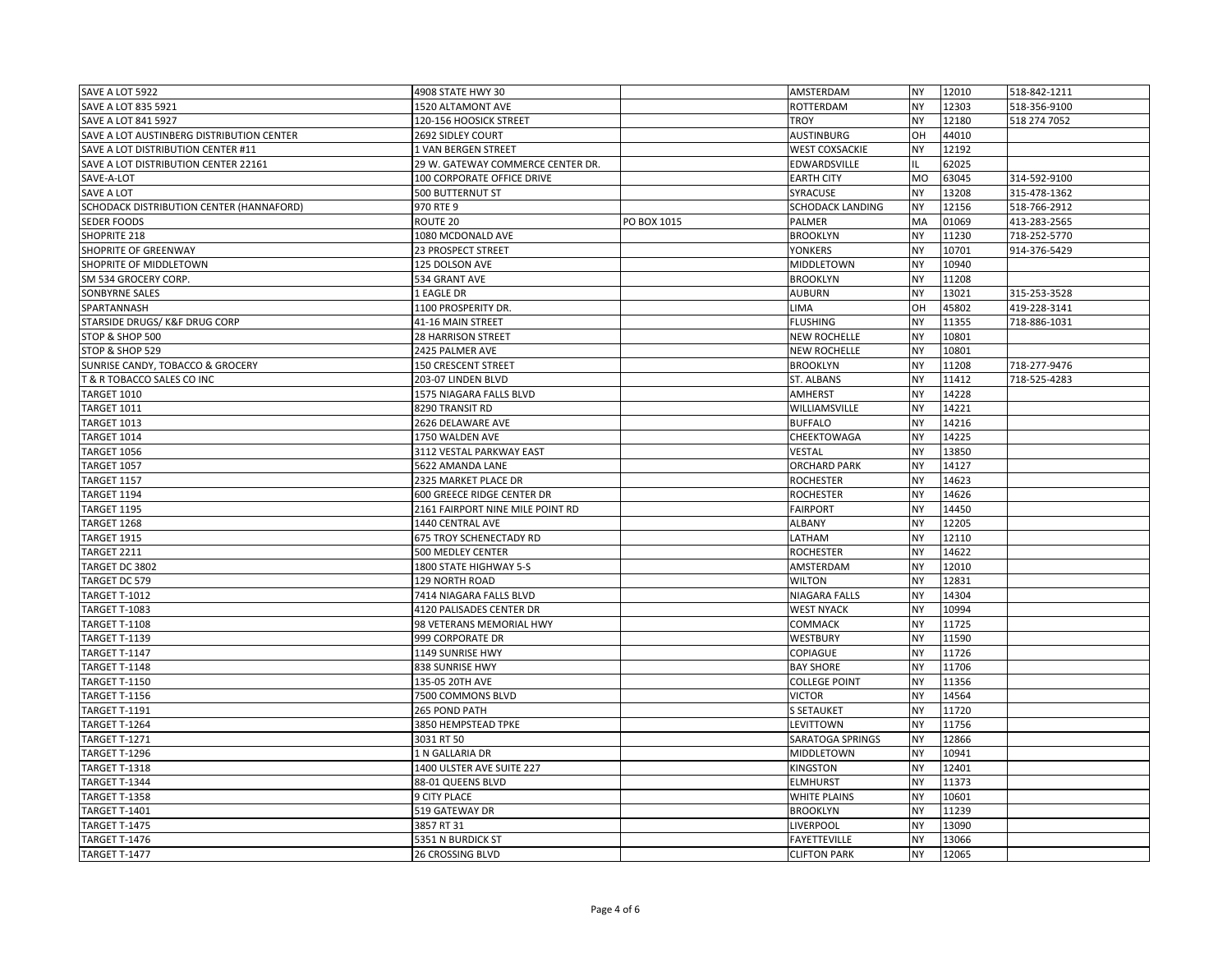| SAVE A LOT 5922                           | 4908 STATE HWY 30                 |             | AMSTERDAM               | <b>NY</b> | 12010 | 518-842-1211 |
|-------------------------------------------|-----------------------------------|-------------|-------------------------|-----------|-------|--------------|
| SAVE A LOT 835 5921                       | 1520 ALTAMONT AVE                 |             | ROTTERDAM               | <b>NY</b> | 12303 | 518-356-9100 |
| SAVE A LOT 841 5927                       | 120-156 HOOSICK STREET            |             | <b>TROY</b>             | <b>NY</b> | 12180 | 518 274 7052 |
| SAVE A LOT AUSTINBERG DISTRIBUTION CENTER | 2692 SIDLEY COURT                 |             | <b>AUSTINBURG</b>       | OH        | 44010 |              |
| SAVE A LOT DISTRIBUTION CENTER #11        | 1 VAN BERGEN STREET               |             | <b>WEST COXSACKIE</b>   | <b>NY</b> | 12192 |              |
| SAVE A LOT DISTRIBUTION CENTER 22161      | 29 W. GATEWAY COMMERCE CENTER DR. |             | EDWARDSVILLE            | IL.       | 62025 |              |
| SAVE-A-LOT                                | 100 CORPORATE OFFICE DRIVE        |             | <b>EARTH CITY</b>       | MO        | 63045 | 314-592-9100 |
| SAVE A LOT                                | 500 BUTTERNUT ST                  |             | SYRACUSE                | <b>NY</b> | 13208 | 315-478-1362 |
| SCHODACK DISTRIBUTION CENTER (HANNAFORD)  | 970 RTE 9                         |             | <b>SCHODACK LANDING</b> | <b>NY</b> | 12156 | 518-766-2912 |
| <b>SEDER FOODS</b>                        | ROUTE 20                          | PO BOX 1015 | PALMER                  | MA        | 01069 | 413-283-2565 |
| SHOPRITE 218                              | 1080 MCDONALD AVE                 |             | <b>BROOKLYN</b>         | NY        | 11230 | 718-252-5770 |
| SHOPRITE OF GREENWAY                      | 23 PROSPECT STREET                |             | <b>YONKERS</b>          | <b>NY</b> | 10701 | 914-376-5429 |
| SHOPRITE OF MIDDLETOWN                    | 125 DOLSON AVE                    |             | <b>MIDDLETOWN</b>       | <b>NY</b> | 10940 |              |
| SM 534 GROCERY CORP.                      | 534 GRANT AVE                     |             | <b>BROOKLYN</b>         | <b>NY</b> | 11208 |              |
| SONBYRNE SALES                            | 1 EAGLE DR                        |             | <b>AUBURN</b>           | <b>NY</b> | 13021 | 315-253-3528 |
| SPARTANNASH                               | 1100 PROSPERITY DR.               |             | LIMA                    | OH        | 45802 | 419-228-3141 |
| STARSIDE DRUGS/K&F DRUG CORP              | 41-16 MAIN STREET                 |             | <b>FLUSHING</b>         | <b>NY</b> | 11355 | 718-886-1031 |
| STOP & SHOP 500                           | <b>28 HARRISON STREET</b>         |             | <b>NEW ROCHELLE</b>     | <b>NY</b> | 10801 |              |
| STOP & SHOP 529                           | 2425 PALMER AVE                   |             | <b>NEW ROCHELLE</b>     | <b>NY</b> | 10801 |              |
| SUNRISE CANDY, TOBACCO & GROCERY          | <b>150 CRESCENT STREET</b>        |             | <b>BROOKLYN</b>         | <b>NY</b> | 11208 | 718-277-9476 |
| T & R TOBACCO SALES CO INC                | 203-07 LINDEN BLVD                |             | <b>ST. ALBANS</b>       | <b>NY</b> | 11412 | 718-525-4283 |
| <b>TARGET 1010</b>                        | 1575 NIAGARA FALLS BLVD           |             | <b>AMHERST</b>          | <b>NY</b> | 14228 |              |
| <b>TARGET 1011</b>                        | 8290 TRANSIT RD                   |             | WILLIAMSVILLE           | <b>NY</b> | 14221 |              |
| <b>TARGET 1013</b>                        | 2626 DELAWARE AVE                 |             | <b>BUFFALO</b>          | <b>NY</b> | 14216 |              |
| <b>TARGET 1014</b>                        | 1750 WALDEN AVE                   |             | CHEEKTOWAGA             | <b>NY</b> | 14225 |              |
| <b>TARGET 1056</b>                        | 3112 VESTAL PARKWAY EAST          |             | VESTAL                  | <b>NY</b> | 13850 |              |
| <b>TARGET 1057</b>                        | 5622 AMANDA LANE                  |             | <b>ORCHARD PARK</b>     | <b>NY</b> | 14127 |              |
| <b>TARGET 1157</b>                        | 2325 MARKET PLACE DR              |             | <b>ROCHESTER</b>        | <b>NY</b> | 14623 |              |
| <b>TARGET 1194</b>                        | 600 GREECE RIDGE CENTER DR        |             | <b>ROCHESTER</b>        | <b>NY</b> | 14626 |              |
| <b>TARGET 1195</b>                        | 2161 FAIRPORT NINE MILE POINT RD  |             | <b>FAIRPORT</b>         | <b>NY</b> | 14450 |              |
| <b>TARGET 1268</b>                        | 1440 CENTRAL AVE                  |             | <b>ALBANY</b>           | <b>NY</b> | 12205 |              |
| <b>TARGET 1915</b>                        | 675 TROY SCHENECTADY RD           |             | LATHAM                  | <b>NY</b> | 12110 |              |
| <b>TARGET 2211</b>                        | 500 MEDLEY CENTER                 |             | <b>ROCHESTER</b>        | <b>NY</b> | 14622 |              |
| TARGET DC 3802                            | 1800 STATE HIGHWAY 5-S            |             | AMSTERDAM               | <b>NY</b> | 12010 |              |
| TARGET DC 579                             | 129 NORTH ROAD                    |             | <b>WILTON</b>           | <b>NY</b> | 12831 |              |
| <b>TARGET T-1012</b>                      | 7414 NIAGARA FALLS BLVD           |             | <b>NIAGARA FALLS</b>    | <b>NY</b> | 14304 |              |
| <b>TARGET T-1083</b>                      | 4120 PALISADES CENTER DR          |             | <b>WEST NYACK</b>       | <b>NY</b> | 10994 |              |
| <b>TARGET T-1108</b>                      | 98 VETERANS MEMORIAL HWY          |             | COMMACK                 | NY        | 11725 |              |
| <b>TARGET T-1139</b>                      | 999 CORPORATE DR                  |             | WESTBURY                | <b>NY</b> | 11590 |              |
| TARGET T-1147                             | 1149 SUNRISE HWY                  |             | <b>COPIAGUE</b>         | <b>NY</b> | 11726 |              |
| TARGET T-1148                             | 838 SUNRISE HWY                   |             | <b>BAY SHORE</b>        | <b>NY</b> | 11706 |              |
| TARGET T-1150                             | 135-05 20TH AVE                   |             | <b>COLLEGE POINT</b>    | <b>NY</b> | 11356 |              |
| <b>TARGET T-1156</b>                      | 7500 COMMONS BLVD                 |             | <b>VICTOR</b>           | <b>NY</b> | 14564 |              |
| <b>TARGET T-1191</b>                      | 265 POND PATH                     |             | <b>S SETAUKET</b>       | <b>NY</b> | 11720 |              |
| TARGET T-1264                             | 3850 HEMPSTEAD TPKE               |             | LEVITTOWN               | <b>NY</b> | 11756 |              |
| <b>TARGET T-1271</b>                      | 3031 RT 50                        |             | SARATOGA SPRINGS        | <b>NY</b> | 12866 |              |
| TARGET T-1296                             | 1 N GALLARIA DR                   |             | <b>MIDDLETOWN</b>       | <b>NY</b> | 10941 |              |
| TARGET T-1318                             | 1400 ULSTER AVE SUITE 227         |             | <b>KINGSTON</b>         | <b>NY</b> | 12401 |              |
| TARGET T-1344                             | 88-01 QUEENS BLVD                 |             | <b>ELMHURST</b>         | <b>NY</b> | 11373 |              |
| <b>TARGET T-1358</b>                      | <b>9 CITY PLACE</b>               |             | <b>WHITE PLAINS</b>     | <b>NY</b> | 10601 |              |
| <b>TARGET T-1401</b>                      | 519 GATEWAY DR                    |             | <b>BROOKLYN</b>         | <b>NY</b> | 11239 |              |
| TARGET T-1475                             | 3857 RT 31                        |             | LIVERPOOL               | <b>NY</b> | 13090 |              |
| TARGET T-1476                             | 5351 N BURDICK ST                 |             | <b>FAYETTEVILLE</b>     | NY        | 13066 |              |
| TARGET T-1477                             | 26 CROSSING BLVD                  |             | <b>CLIFTON PARK</b>     | <b>NY</b> | 12065 |              |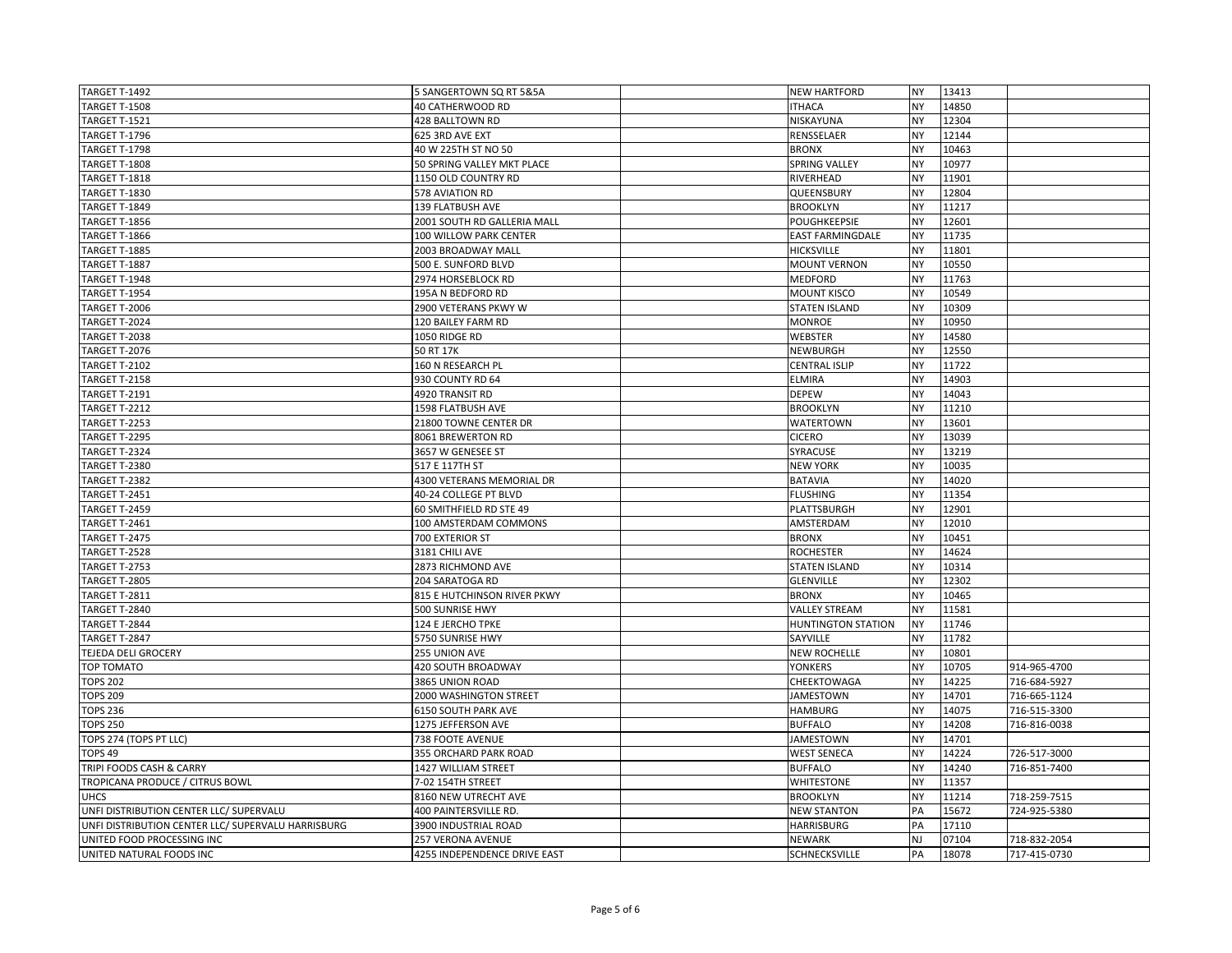| TARGET T-1492                                      | 5 SANGERTOWN SQ RT 5&5A      | <b>NEW HARTFORD</b>       | <b>NY</b> | 13413 |              |
|----------------------------------------------------|------------------------------|---------------------------|-----------|-------|--------------|
| <b>TARGET T-1508</b>                               | <b>40 CATHERWOOD RD</b>      | <b>ITHACA</b>             | <b>NY</b> | 14850 |              |
| <b>TARGET T-1521</b>                               | 428 BALLTOWN RD              | NISKAYUNA                 | <b>NY</b> | 12304 |              |
| TARGET T-1796                                      | 625 3RD AVE EXT              | RENSSELAER                | <b>NY</b> | 12144 |              |
| TARGET T-1798                                      | 40 W 225TH ST NO 50          | <b>BRONX</b>              | <b>NY</b> | 10463 |              |
| TARGET T-1808                                      | 50 SPRING VALLEY MKT PLACE   | <b>SPRING VALLEY</b>      | <b>NY</b> | 10977 |              |
| <b>TARGET T-1818</b>                               | 1150 OLD COUNTRY RD          | RIVERHEAD                 | <b>NY</b> | 11901 |              |
| TARGET T-1830                                      | 578 AVIATION RD              | QUEENSBURY                | <b>NY</b> | 12804 |              |
| <b>TARGET T-1849</b>                               | 139 FLATBUSH AVE             | <b>BROOKLYN</b>           | <b>NY</b> | 11217 |              |
| TARGET T-1856                                      | 2001 SOUTH RD GALLERIA MALL  | POUGHKEEPSIE              | <b>NY</b> | 12601 |              |
| <b>TARGET T-1866</b>                               | 100 WILLOW PARK CENTER       | <b>EAST FARMINGDALE</b>   | <b>NY</b> | 11735 |              |
| TARGET T-1885                                      | 2003 BROADWAY MALL           | <b>HICKSVILLE</b>         | <b>NY</b> | 11801 |              |
| TARGET T-1887                                      | 500 E. SUNFORD BLVD          | <b>MOUNT VERNON</b>       | <b>NY</b> | 10550 |              |
| TARGET T-1948                                      | 2974 HORSEBLOCK RD           | <b>MEDFORD</b>            | <b>NY</b> | 11763 |              |
| <b>TARGET T-1954</b>                               | 195A N BEDFORD RD            | <b>MOUNT KISCO</b>        | <b>NY</b> | 10549 |              |
| <b>TARGET T-2006</b>                               | 2900 VETERANS PKWY W         | <b>STATEN ISLAND</b>      | <b>NY</b> | 10309 |              |
| TARGET T-2024                                      | 120 BAILEY FARM RD           | <b>MONROE</b>             | <b>NY</b> | 10950 |              |
| TARGET T-2038                                      | 1050 RIDGE RD                | <b>WEBSTER</b>            | <b>NY</b> | 14580 |              |
| TARGET T-2076                                      | 50 RT 17K                    | NEWBURGH                  | <b>NY</b> | 12550 |              |
| TARGET T-2102                                      | 160 N RESEARCH PL            | <b>CENTRAL ISLIP</b>      | <b>NY</b> | 11722 |              |
| TARGET T-2158                                      | 930 COUNTY RD 64             | <b>ELMIRA</b>             | <b>NY</b> | 14903 |              |
| TARGET T-2191                                      | 4920 TRANSIT RD              | <b>DEPEW</b>              | <b>NY</b> | 14043 |              |
| TARGET T-2212                                      | 1598 FLATBUSH AVE            | <b>BROOKLYN</b>           | <b>NY</b> | 11210 |              |
| TARGET T-2253                                      | 21800 TOWNE CENTER DR        | WATERTOWN                 | <b>NY</b> | 13601 |              |
| TARGET T-2295                                      | 8061 BREWERTON RD            | <b>CICERO</b>             | <b>NY</b> | 13039 |              |
| TARGET T-2324                                      | 3657 W GENESEE ST            | SYRACUSE                  | <b>NY</b> | 13219 |              |
| TARGET T-2380                                      | 517 E 117TH ST               | <b>NEW YORK</b>           | <b>NY</b> | 10035 |              |
| TARGET T-2382                                      | 4300 VETERANS MEMORIAL DR    | <b>BATAVIA</b>            | <b>NY</b> | 14020 |              |
| TARGET T-2451                                      | 40-24 COLLEGE PT BLVD        | <b>FLUSHING</b>           | <b>NY</b> | 11354 |              |
| TARGET T-2459                                      | 60 SMITHFIELD RD STE 49      | PLATTSBURGH               | <b>NY</b> | 12901 |              |
| TARGET T-2461                                      | 100 AMSTERDAM COMMONS        | AMSTERDAM                 | <b>NY</b> | 12010 |              |
| TARGET T-2475                                      | 700 EXTERIOR ST              | <b>BRONX</b>              | <b>NY</b> | 10451 |              |
| TARGET T-2528                                      | 3181 CHILI AVE               | <b>ROCHESTER</b>          | <b>NY</b> | 14624 |              |
| TARGET T-2753                                      | 2873 RICHMOND AVE            | <b>STATEN ISLAND</b>      | <b>NY</b> | 10314 |              |
| TARGET T-2805                                      | 204 SARATOGA RD              | <b>GLENVILLE</b>          | <b>NY</b> | 12302 |              |
| TARGET T-2811                                      | 815 E HUTCHINSON RIVER PKWY  | <b>BRONX</b>              | <b>NY</b> | 10465 |              |
| TARGET T-2840                                      | 500 SUNRISE HWY              | <b>VALLEY STREAM</b>      | <b>NY</b> | 11581 |              |
| TARGET T-2844                                      | 124 E JERCHO TPKE            | <b>HUNTINGTON STATION</b> | <b>NY</b> | 11746 |              |
| TARGET T-2847                                      | 5750 SUNRISE HWY             | SAYVILLE                  | <b>NY</b> | 11782 |              |
| TEJEDA DELI GROCERY                                | 255 UNION AVE                | <b>NEW ROCHELLE</b>       | <b>NY</b> | 10801 |              |
| TOP TOMATO                                         | 420 SOUTH BROADWAY           | <b>YONKERS</b>            | <b>NY</b> | 10705 | 914-965-4700 |
| <b>TOPS 202</b>                                    | 3865 UNION ROAD              | CHEEKTOWAGA               | <b>NY</b> | 14225 | 716-684-5927 |
| <b>TOPS 209</b>                                    | 2000 WASHINGTON STREET       | <b>JAMESTOWN</b>          | <b>NY</b> | 14701 | 716-665-1124 |
| <b>TOPS 236</b>                                    | 6150 SOUTH PARK AVE          | <b>HAMBURG</b>            | <b>NY</b> | 14075 | 716-515-3300 |
| <b>TOPS 250</b>                                    | 1275 JEFFERSON AVE           | <b>BUFFALO</b>            | <b>NY</b> | 14208 | 716-816-0038 |
| TOPS 274 (TOPS PT LLC)                             | 738 FOOTE AVENUE             | <b>JAMESTOWN</b>          | <b>NY</b> | 14701 |              |
| TOPS <sub>49</sub>                                 | 355 ORCHARD PARK ROAD        | <b>WEST SENECA</b>        | <b>NY</b> | 14224 | 726-517-3000 |
| TRIPI FOODS CASH & CARRY                           | 1427 WILLIAM STREET          | <b>BUFFALO</b>            | <b>NY</b> | 14240 | 716-851-7400 |
| TROPICANA PRODUCE / CITRUS BOWL                    | 7-02 154TH STREET            | <b>WHITESTONE</b>         | <b>NY</b> | 11357 |              |
| <b>UHCS</b>                                        | 8160 NEW UTRECHT AVE         | <b>BROOKLYN</b>           | <b>NY</b> | 11214 | 718-259-7515 |
| UNFI DISTRIBUTION CENTER LLC/ SUPERVALU            | 400 PAINTERSVILLE RD.        | <b>NEW STANTON</b>        | PA        | 15672 | 724-925-5380 |
| UNFI DISTRIBUTION CENTER LLC/ SUPERVALU HARRISBURG | 3900 INDUSTRIAL ROAD         | <b>HARRISBURG</b>         | PA        | 17110 |              |
| UNITED FOOD PROCESSING INC                         | 257 VERONA AVENUE            | <b>NEWARK</b>             | <b>NJ</b> | 07104 | 718-832-2054 |
| UNITED NATURAL FOODS INC                           | 4255 INDEPENDENCE DRIVE EAST | <b>SCHNECKSVILLE</b>      | PA        | 18078 | 717-415-0730 |